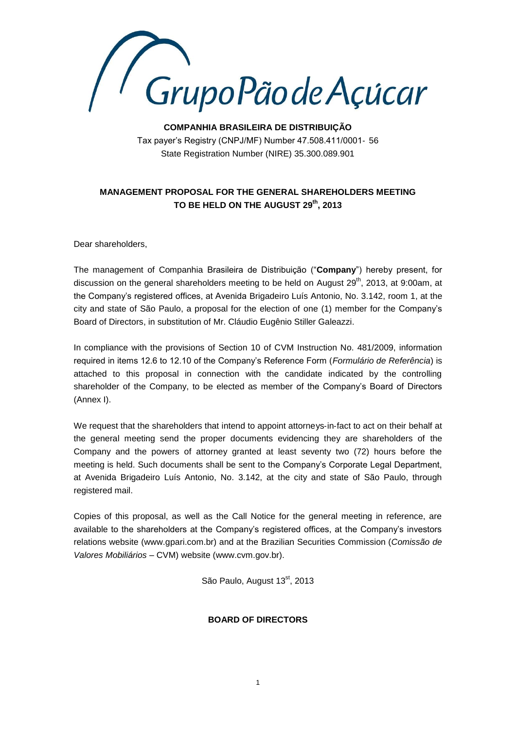

**COMPANHIA BRASILEIRA DE DISTRIBUIÇÃO** Tax payer's Registry (CNPJ/MF) Number 47.508.411/0001‐ 56 State Registration Number (NIRE) 35.300.089.901

## **MANAGEMENT PROPOSAL FOR THE GENERAL SHAREHOLDERS MEETING TO BE HELD ON THE AUGUST 29th, 2013**

Dear shareholders,

The management of Companhia Brasileira de Distribuição ("**Company**") hereby present, for discussion on the general shareholders meeting to be held on August  $29<sup>th</sup>$ , 2013, at 9:00am, at the Company's registered offices, at Avenida Brigadeiro Luís Antonio, No. 3.142, room 1, at the city and state of São Paulo, a proposal for the election of one (1) member for the Company's Board of Directors, in substitution of Mr. Cláudio Eugênio Stiller Galeazzi.

In compliance with the provisions of Section 10 of CVM Instruction No. 481/2009, information required in items 12.6 to 12.10 of the Company's Reference Form (*Formulário de Referência*) is attached to this proposal in connection with the candidate indicated by the controlling shareholder of the Company, to be elected as member of the Company's Board of Directors (Annex I).

We request that the shareholders that intend to appoint attorneys-in-fact to act on their behalf at the general meeting send the proper documents evidencing they are shareholders of the Company and the powers of attorney granted at least seventy two (72) hours before the meeting is held. Such documents shall be sent to the Company's Corporate Legal Department, at Avenida Brigadeiro Luís Antonio, No. 3.142, at the city and state of São Paulo, through registered mail.

Copies of this proposal, as well as the Call Notice for the general meeting in reference, are available to the shareholders at the Company's registered offices, at the Company's investors relations website (www.gpari.com.br) and at the Brazilian Securities Commission (*Comissão de Valores Mobiliários* – CVM) website (www.cvm.gov.br).

São Paulo, August 13<sup>st</sup>, 2013

### **BOARD OF DIRECTORS**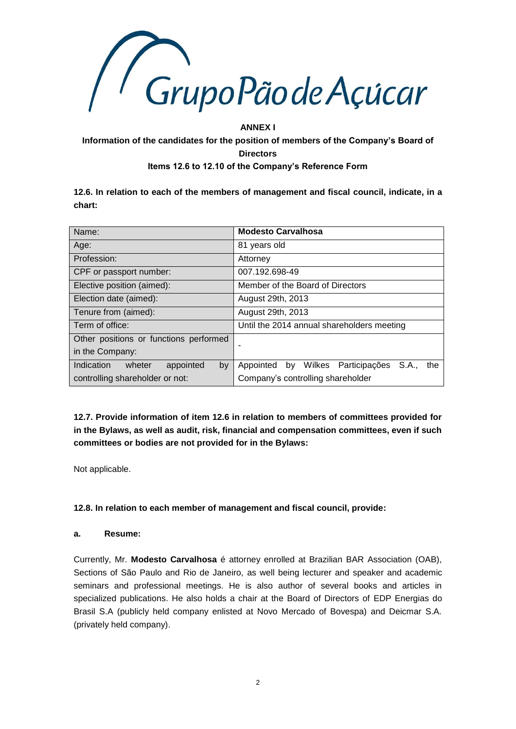

### **ANNEX I**

# **Information of the candidates for the position of members of the Company's Board of Directors Items 12.6 to 12.10 of the Company's Reference Form**

**12.6. In relation to each of the members of management and fiscal council, indicate, in a chart:**

| Name:                                   | <b>Modesto Carvalhosa</b>                            |
|-----------------------------------------|------------------------------------------------------|
| Age:                                    | 81 years old                                         |
| Profession:                             | Attorney                                             |
| CPF or passport number:                 | 007.192.698-49                                       |
| Elective position (aimed):              | Member of the Board of Directors                     |
| Election date (aimed):                  | August 29th, 2013                                    |
| Tenure from (aimed):                    | August 29th, 2013                                    |
| Term of office:                         | Until the 2014 annual shareholders meeting           |
| Other positions or functions performed  |                                                      |
| in the Company:                         |                                                      |
| Indication<br>appointed<br>wheter<br>by | Appointed by Wilkes<br>Participações<br>S.A.,<br>the |
| controlling shareholder or not:         | Company's controlling shareholder                    |

**12.7. Provide information of item 12.6 in relation to members of committees provided for in the Bylaws, as well as audit, risk, financial and compensation committees, even if such committees or bodies are not provided for in the Bylaws:**

Not applicable.

### **12.8. In relation to each member of management and fiscal council, provide:**

### **a. Resume:**

Currently, Mr. **Modesto Carvalhosa** é attorney enrolled at Brazilian BAR Association (OAB), Sections of São Paulo and Rio de Janeiro, as well being lecturer and speaker and academic seminars and professional meetings. He is also author of several books and articles in specialized publications. He also holds a chair at the Board of Directors of EDP Energias do Brasil S.A (publicly held company enlisted at Novo Mercado of Bovespa) and Deicmar S.A. (privately held company).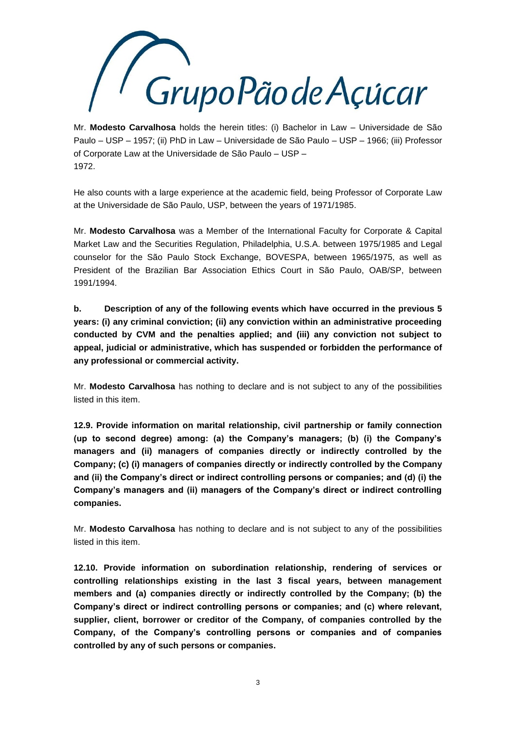

Mr. **Modesto Carvalhosa** holds the herein titles: (i) Bachelor in Law – Universidade de São Paulo – USP – 1957; (ii) PhD in Law – Universidade de São Paulo – USP – 1966; (iii) Professor of Corporate Law at the Universidade de São Paulo – USP – 1972.

He also counts with a large experience at the academic field, being Professor of Corporate Law at the Universidade de São Paulo, USP, between the years of 1971/1985.

Mr. **Modesto Carvalhosa** was a Member of the International Faculty for Corporate & Capital Market Law and the Securities Regulation, Philadelphia, U.S.A. between 1975/1985 and Legal counselor for the São Paulo Stock Exchange, BOVESPA, between 1965/1975, as well as President of the Brazilian Bar Association Ethics Court in São Paulo, OAB/SP, between 1991/1994.

**b. Description of any of the following events which have occurred in the previous 5 years: (i) any criminal conviction; (ii) any conviction within an administrative proceeding conducted by CVM and the penalties applied; and (iii) any conviction not subject to appeal, judicial or administrative, which has suspended or forbidden the performance of any professional or commercial activity.**

Mr. **Modesto Carvalhosa** has nothing to declare and is not subject to any of the possibilities listed in this item.

**12.9. Provide information on marital relationship, civil partnership or family connection (up to second degree) among: (a) the Company's managers; (b) (i) the Company's managers and (ii) managers of companies directly or indirectly controlled by the Company; (c) (i) managers of companies directly or indirectly controlled by the Company and (ii) the Company's direct or indirect controlling persons or companies; and (d) (i) the Company's managers and (ii) managers of the Company's direct or indirect controlling companies.**

Mr. **Modesto Carvalhosa** has nothing to declare and is not subject to any of the possibilities listed in this item.

**12.10. Provide information on subordination relationship, rendering of services or controlling relationships existing in the last 3 fiscal years, between management members and (a) companies directly or indirectly controlled by the Company; (b) the Company's direct or indirect controlling persons or companies; and (c) where relevant, supplier, client, borrower or creditor of the Company, of companies controlled by the Company, of the Company's controlling persons or companies and of companies controlled by any of such persons or companies.**